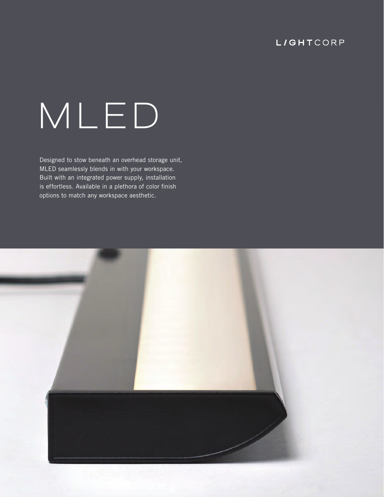## **L/GHTCORP**

# **MLED**

Designed to stow beneath an overhead storage unit, MLED seamlessly blends in with your workspace. Built with an integrated power supply, installation is effortless. Available in a plethora of color finish options to match any workspace aesthetic.

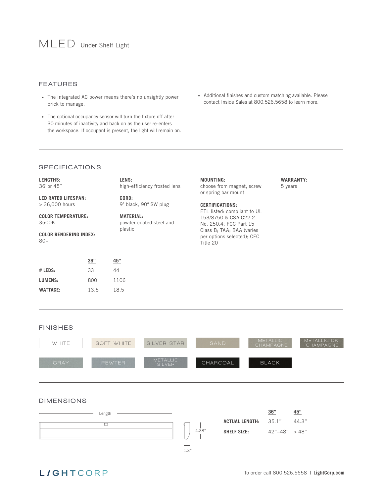#### FEATURES

- The integrated AC power means there's no unsightly power brick to manage.
- The optional occupancy sensor will turn the fixture off after 30 minutes of inactivity and back on as the user re-enters the workspace. If occupant is present, the light will remain on.
- Additional finishes and custom matching available. Please contact Inside Sales at 800.526.5658 to learn more.

#### **SPECIFICATIONS**

| LENGTHS:<br>36"or 45"                                                        |     | LENS:<br>high-efficiency frosted lens                  | <b>MOUNTING:</b><br>choose from magnet, screw<br>or spring bar mount                                                                                 | <b>WARRANTY:</b><br>5 years |  |  |  |
|------------------------------------------------------------------------------|-----|--------------------------------------------------------|------------------------------------------------------------------------------------------------------------------------------------------------------|-----------------------------|--|--|--|
| <b>LED RATED LIFESPAN:</b>                                                   |     | CORD:                                                  |                                                                                                                                                      |                             |  |  |  |
| $>$ 36,000 hours                                                             |     | 9' black, 90° SW plug                                  | <b>CERTIFICATIONS:</b>                                                                                                                               |                             |  |  |  |
| <b>COLOR TEMPERATURE:</b><br>3500K<br><b>COLOR RENDERING INDEX:</b><br>$80+$ |     | <b>MATERIAL:</b><br>powder coated steel and<br>plastic | ETL listed: compliant to UL<br>153/8750 & CSA C22.2<br>No. 250.4; FCC Part 15<br>Class B; TAA; BAA (varies<br>per options selected); CEC<br>Title 20 |                             |  |  |  |
|                                                                              | 36" | 45"                                                    |                                                                                                                                                      |                             |  |  |  |
| $#$ LEDS:                                                                    | 33  | 44                                                     |                                                                                                                                                      |                             |  |  |  |
| LUMENS:                                                                      | 800 | 1106                                                   |                                                                                                                                                      |                             |  |  |  |
| <b>WATTAGE:</b><br>13.5                                                      |     | 18.5                                                   |                                                                                                                                                      |                             |  |  |  |

#### FINISHES



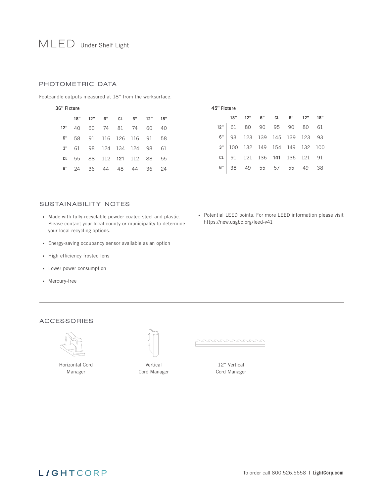# **MLED** Under Shelf Light

#### PHOTOMETRIC DATA

Footcandle outputs measured at 18" from the worksurface.

| 36" Fixture |     |     |     |             |     |     | 45" Fixture |     |     |     |     |         |     |       |      |
|-------------|-----|-----|-----|-------------|-----|-----|-------------|-----|-----|-----|-----|---------|-----|-------|------|
|             | 18" | 12" | 6"  | <b>CL</b>   | 6"  | 12" | 18"         |     | 18" | 12" | 6"  | CL.     | 6"  | 12"   | 18"  |
| 12"         | 40  | 60  | 74  | 81          | 74  | 60  | 40          | 12" | 61  | 80  | 90  | 95      | 90  | 80    | 61   |
| 6"          | 58  | 91  |     | 116 126     | 116 | 91  | 58          | 6"  | 93  | 123 | 139 | 145 139 |     | - 123 | - 93 |
| 3"          | 61  | 98  |     | 124 134 124 |     | 98  | - 61        | 3"  | 100 | 132 | 149 | 154     | 149 | 132   | 100  |
| CL          | 55  | 88  | 112 | 121         | 112 | 88  | 55          | СL  | 91  | 121 | 136 | - 141   | 136 | 121   | - 91 |
| 6"          | 24  | 36  | 44  | 48          | 44  | 36  | -24         | 6"  | 38  | 49  | 55  | 57      | 55  | 49    | 38   |
|             |     |     |     |             |     |     |             |     |     |     |     |         |     |       |      |

#### SUSTAINABILITY NOTES

- Made with fully-recyclable powder coated steel and plastic. Please contact your local county or municipality to determine your local recycling options.
- Energy-saving occupancy sensor available as an option
- High efficiency frosted lens
- Lower power consumption
- Mercury-free

• Potential LEED points. For more LEED information please visit https://new.usgbc.org/leed-v41

#### ACCESSORIES



Horizontal Cord Manager



Vertical Cord Manager <u>nnnnnnnnn</u>

12" Vertical Cord Manager